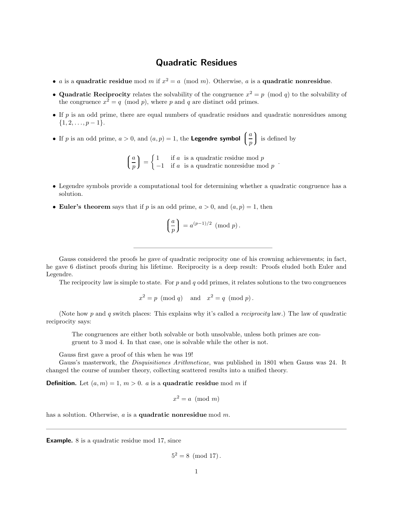## Quadratic Residues

- *a* is a quadratic residue mod *m* if  $x^2 = a \pmod{m}$ . Otherwise, *a* is a quadratic nonresidue.
- Quadratic Reciprocity relates the solvability of the congruence  $x^2 = p \pmod{q}$  to the solvability of the congruence  $x^2 = q \pmod{p}$ , where p and q are distinct odd primes.
- $\bullet$  If p is an odd prime, there are equal numbers of quadratic residues and quadratic nonresidues among  $\{1, 2, \ldots, p-1\}.$
- If p is an odd prime,  $a > 0$ , and  $(a, p) = 1$ , the **Legendre symbol**  $\overline{\mathcal{L}}$ a p is defined by

 $\sqrt{ }$  $\mathcal{L}$ a p  $= \begin{cases} 1 & \text{if } a \text{ is a quadratic residue mod } p \\ -1 & \text{if } a \text{ is a quadratic nonresidue mod } p \end{cases}$  $-1$  if a is a quadratic nonresidue mod p.

- Legendre symbols provide a computational tool for determining whether a quadratic congruence has a solution.
- Euler's theorem says that if p is an odd prime,  $a > 0$ , and  $(a, p) = 1$ , then

$$
\left(\frac{a}{p}\right) = a^{(p-1)/2} \pmod{p}.
$$

Gauss considered the proofs he gave of quadratic reciprocity one of his crowning achievements; in fact, he gave 6 distinct proofs during his lifetime. Reciprocity is a deep result: Proofs eluded both Euler and Legendre.

The reciprocity law is simple to state. For  $p$  and  $q$  odd primes, it relates solutions to the two congruences

$$
x^2 = p \pmod{q} \quad \text{and} \quad x^2 = q \pmod{p} \, .
$$

(Note how p and q switch places: This explains why it's called a reciprocity law.) The law of quadratic reciprocity says:

The congruences are either both solvable or both unsolvable, unless both primes are congruent to 3 mod 4. In that case, one is solvable while the other is not.

Gauss first gave a proof of this when he was 19!

Gauss's masterwork, the Disquisitiones Arithmeticae, was published in 1801 when Gauss was 24. It changed the course of number theory, collecting scattered results into a unified theory.

**Definition.** Let  $(a, m) = 1, m > 0$ . *a* is a quadratic residue mod *m* if

$$
x^2 = a \pmod{m}
$$

has a solution. Otherwise,  $a$  is a **quadratic nonresidue** mod  $m$ .

Example. 8 is a quadratic residue mod 17, since

$$
5^2 = 8 \pmod{17}.
$$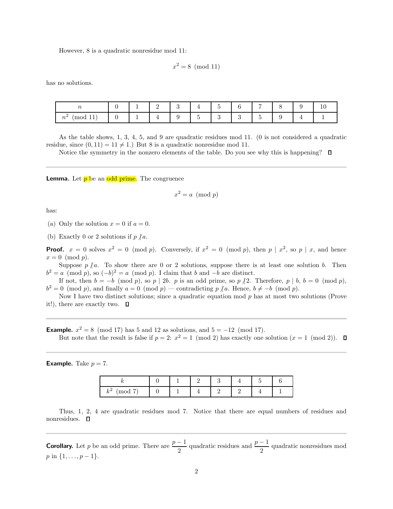However, 8 is a quadratic nonresidue mod 11:

$$
x^2 = 8 \pmod{11}
$$

has no solutions.

| $\sim$<br>$\overline{\phantom{a}}$ |    | ᅩ        | -               | $\Omega$<br>◡ | <b>.</b> | - | $\sqrt{2}$   |                               |  | ∸ |
|------------------------------------|----|----------|-----------------|---------------|----------|---|--------------|-------------------------------|--|---|
| - 4<br>mod 11<br>$n^{\omega}$      | ъ. | <b>.</b> | <u>. на стр</u> |               | -        |   | $\sim$<br>ч. | $\overline{\phantom{a}}$<br>- |  |   |

As the table shows, 1, 3, 4, 5, and 9 are quadratic residues mod 11. (0 is not considered a quadratic residue, since  $(0, 11) = 11 \neq 1$ .) But 8 is a quadratic nonresidue mod 11.

Notice the symmetry in the nonzero elements of the table. Do you see why this is happening?  $\square$ 

**Lemma.** Let  $\overline{p}$  be an odd prime. The congruence

$$
x^2 = a \pmod{p}
$$

has:

(a) Only the solution  $x = 0$  if  $a = 0$ .

(b) Exactly 0 or 2 solutions if  $p \nmid a$ .

**Proof.**  $x = 0$  solves  $x^2 = 0 \pmod{p}$ . Conversely, if  $x^2 = 0 \pmod{p}$ , then  $p \mid x^2$ , so  $p \mid x$ , and hence  $x = 0 \pmod{p}$ .

Suppose  $p \nmid a$ . To show there are 0 or 2 solutions, suppose there is at least one solution b. Then  $b^2 = a \pmod{p}$ , so  $(-b)^2 = a \pmod{p}$ . I claim that b and  $-b$  are distinct.

If not, then  $b = -b \pmod{p}$ , so  $p \mid 2b$ . p is an odd prime, so  $p \nmid 2$ . Therefore,  $p \mid b, b = 0 \pmod{p}$ ,  $b^2 = 0 \pmod{p}$ , and finally  $a = 0 \pmod{p}$  — contradicting  $p \nmid a$ . Hence,  $b \neq -b \pmod{p}$ .

Now I have two distinct solutions; since a quadratic equation mod  $p$  has at most two solutions (Prove it!), there are exactly two.  $\Box$ 

**Example.**  $x^2 = 8 \pmod{17}$  has 5 and 12 as solutions, and  $5 = -12 \pmod{17}$ . But note that the result is false if  $p = 2$ :  $x^2 = 1 \pmod{2}$  has exactly one solution  $(x = 1 \pmod{2})$ .

**Example.** Take  $p = 7$ .

| ,,                            |  |  |  |  |
|-------------------------------|--|--|--|--|
| $\rightarrow$<br>$k^2$<br>mod |  |  |  |  |

Thus, 1, 2, 4 are quadratic residues mod 7. Notice that there are equal numbers of residues and nonresidues. **D** 

**Corollary.** Let p be an odd prime. There are  $\frac{p-1}{2}$  quadratic residues and  $\frac{p-1}{2}$  quadratic nonresidues mod  $p \in \{1, \ldots, p-1\}.$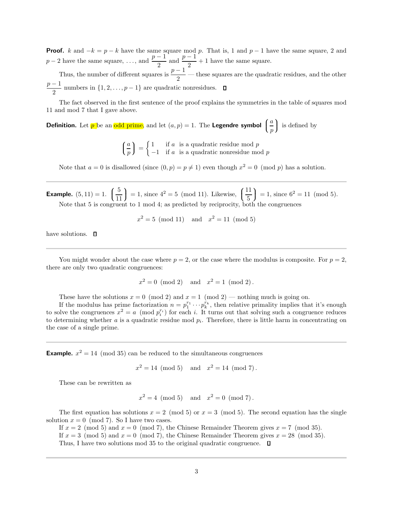**Proof.** k and  $-k = p - k$  have the same square mod p. That is, 1 and p – 1 have the same square, 2 and  $p-2$  have the same square, ..., and  $\frac{p-1}{2}$  $\frac{-1}{2}$  and  $\frac{p-1}{2}$  $\frac{1}{2} + 1$  have the same square.

Thus, the number of different squares is  $\frac{p-1}{2}$  — these squares are the quadratic residues, and the other  $p-1$  $\frac{1}{2}$  numbers in  $\{1, 2, \ldots, p-1\}$  are quadratic nonresidues.

The fact observed in the first sentence of the proof explains the symmetries in the table of squares mod 11 and mod 7 that I gave above.

**Definition.** Let  $p$  be an odd prime, and let  $(a, p) = 1$ . The **Legendre symbol**  $\overline{a}$ a p is defined by

> $\sqrt{ }$  $\overline{a}$ a p  $= \begin{cases} 1 & \text{if } a \text{ is a quadratic residue mod } p \\ -1 & \text{if } a \text{ is a quadratic nonresidue mod } p \end{cases}$  $-1$  if a is a quadratic nonresidue mod p

Note that  $a = 0$  is disallowed (since  $(0, p) = p \neq 1$ ) even though  $x^2 = 0 \pmod{p}$  has a solution.

**Example.**  $(5, 11) = 1.$   $\left( \begin{array}{c} 1 \end{array} \right)$  $\overline{\mathcal{L}}$ 5 11  $= 1$ , since  $4^2 = 5 \pmod{11}$ . Likewise,  $\left($  $\overline{\mathcal{L}}$ 11 5  $= 1$ , since  $6^2 = 11 \pmod{5}$ . Note that 5 is congruent to 1 mod 4; as predicted by reciprocity, both the congruences

 $x^2 = 5 \pmod{11}$  and  $x^2 = 11 \pmod{5}$ 

have solutions.  $\Box$ 

You might wonder about the case where  $p = 2$ , or the case where the modulus is composite. For  $p = 2$ , there are only two quadratic congruences:

$$
x^2 = 0 \pmod{2}
$$
 and  $x^2 = 1 \pmod{2}$ .

These have the solutions  $x = 0 \pmod{2}$  and  $x = 1 \pmod{2}$  — nothing much is going on.

If the modulus has prime factorization  $n = p_1^{r_1} \cdots p_k^{r_k}$ , then relative primality implies that it's enough to solve the congruences  $x^2 = a \pmod{p_i^{r_i}}$  for each i. It turns out that solving such a congruence reduces to determining whether  $a$  is a quadratic residue mod  $p_i$ . Therefore, there is little harm in concentrating on the case of a single prime.

**Example.**  $x^2 = 14 \pmod{35}$  can be reduced to the simultaneous congruences

 $x^2 = 14 \pmod{5}$  and  $x^2 = 14 \pmod{7}$ .

These can be rewritten as

 $x^2 = 4 \pmod{5}$  and  $x^2 = 0 \pmod{7}$ .

The first equation has solutions  $x = 2 \pmod{5}$  or  $x = 3 \pmod{5}$ . The second equation has the single solution  $x = 0 \pmod{7}$ . So I have two cases.

If  $x = 2 \pmod{5}$  and  $x = 0 \pmod{7}$ , the Chinese Remainder Theorem gives  $x = 7 \pmod{35}$ .

If  $x = 3 \pmod{5}$  and  $x = 0 \pmod{7}$ , the Chinese Remainder Theorem gives  $x = 28 \pmod{35}$ .

Thus, I have two solutions mod 35 to the original quadratic congruence.  $\Box$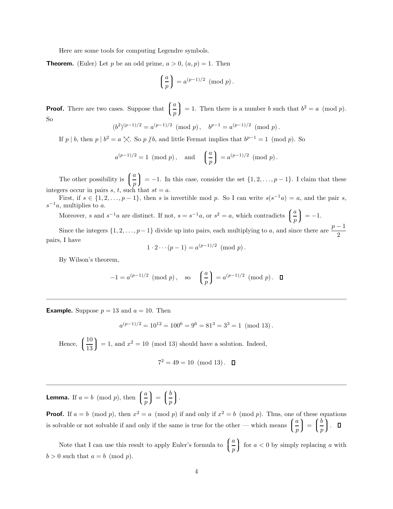Here are some tools for computing Legendre symbols.

**Theorem.** (Euler) Let p be an odd prime,  $a > 0$ ,  $(a, p) = 1$ . Then

$$
\left(\frac{a}{p}\right) = a^{(p-1)/2} \pmod{p}.
$$

**Proof.** There are two cases. Suppose that  $\left($  $\overline{\mathcal{L}}$ a p ) = 1. Then there is a number b such that  $b^2 = a \pmod{p}$ . So

$$
(b^2)^{(p-1)/2} = a^{(p-1)/2} \pmod{p}, \quad b^{p-1} = a^{(p-1)/2} \pmod{p}.
$$

If p | b, then p |  $b^2 = a \times$ . So p | b, and little Fermat implies that  $b^{p-1} = 1 \pmod{p}$ . So

$$
a^{(p-1)/2} = 1 \pmod{p}
$$
, and  $\left(\frac{a}{p}\right) = a^{(p-1)/2} \pmod{p}$ .

The other possibility is  $\int$  $\overline{a}$ a p  $= -1$ . In this case, consider the set  $\{1, 2, \ldots, p - 1\}$ . I claim that these integers occur in pairs s, t, such that  $st = a$ .

First, if  $s \in \{1, 2, ..., p-1\}$ , then s is invertible mod p. So I can write  $s(s^{-1}a) = a$ , and the pair s,  $s^{-1}a$ , multiplies to a.

Moreover, s and  $s^{-1}a$  are distinct. If not,  $s = s^{-1}a$ , or  $s^2 = a$ , which contradicts  $\left( \begin{array}{c} \end{array} \right)$  $\mathcal{L}$ a p  $= -1.$ 

Since the integers  $\{1, 2, \ldots, p-1\}$  divide up into pairs, each multiplying to a, and since there are  $\frac{p-1}{2}$ pairs, I have

$$
1 \cdot 2 \cdots (p-1) = a^{(p-1)/2} \pmod{p}.
$$

By Wilson's theorem,

$$
-1 = a^{(p-1)/2} \pmod{p}, \text{ so } \left(\frac{a}{p}\right) = a^{(p-1)/2} \pmod{p}. \quad \Box
$$

**Example.** Suppose  $p = 13$  and  $a = 10$ . Then

$$
a^{(p-1)/2} = 10^{12} = 100^6 = 9^6 = 81^3 = 3^3 = 1 \pmod{13}.
$$

Hence,  $\int$  $\overline{\mathcal{L}}$ 10 13  $= 1$ , and  $x^2 = 10 \pmod{13}$  should have a solution. Indeed,

$$
7^2 = 49 = 10 \pmod{13}.
$$

**Lemma.** If  $a = b \pmod{p}$ , then  $\left( \begin{array}{c} 0 & \text{if } a \neq b \end{array} \right)$  $\overline{a}$ a p  $\Bigg) = \Bigg($  $\overline{a}$ b p  $\Big).$ 

**Proof.** If  $a = b \pmod{p}$ , then  $x^2 = a \pmod{p}$  if and only if  $x^2 = b \pmod{p}$ . Thus, one of these equations is solvable or not solvable if and only if the same is true for the other — which means  $\int$  $\mathcal{L}$ a p  $\Bigg) = \Bigg($  $\mathfrak{t}$ b p  $\Big)$  .

Note that I can use this result to apply Euler's formula to  $\int$  $\overline{\mathcal{L}}$ a p for  $a < 0$  by simply replacing a with  $b > 0$  such that  $a = b \pmod{p}$ .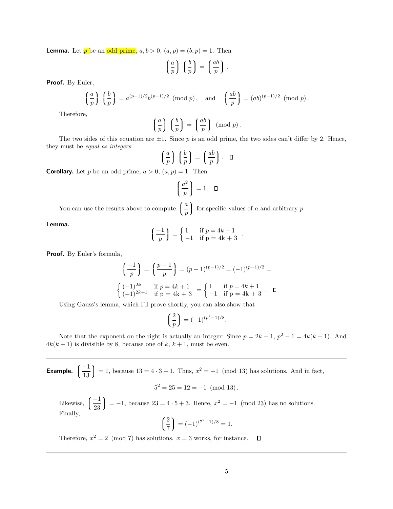**Lemma.** Let  $p$  be an odd prime,  $a, b > 0$ ,  $(a, p) = (b, p) = 1$ . Then

$$
\left(\frac{a}{p}\right)\,\left(\frac{b}{p}\right) = \left(\frac{ab}{p}\right).
$$

Proof. By Euler,

$$
\left(\frac{a}{p}\right)\left(\frac{b}{p}\right) = a^{(p-1)/2}b^{(p-1)/2} \pmod{p}, \text{ and } \left(\frac{ab}{p}\right) = (ab)^{(p-1)/2} \pmod{p}.
$$

Therefore,

$$
\left(\frac{a}{p}\right)\left(\frac{b}{p}\right) = \left(\frac{ab}{p}\right) \pmod{p}.
$$

The two sides of this equation are  $\pm 1$ . Since p is an odd prime, the two sides can't differ by 2. Hence, they must be equal as integers:

$$
\left(\frac{a}{p}\right)\left(\frac{b}{p}\right) = \left(\frac{ab}{p}\right). \quad \Box
$$

**Corollary.** Let p be an odd prime,  $a > 0$ ,  $(a, p) = 1$ . Then

$$
\left(\frac{a^2}{p}\right) = 1. \quad \Box
$$

You can use the results above to compute  $\int$  $\overline{a}$ a p for specific values of  $a$  and arbitrary  $p$ .

Lemma.

$$
\left(\frac{-1}{p}\right) = \begin{cases} 1 & \text{if } p = 4k + 1 \\ -1 & \text{if } p = 4k + 3 \end{cases}.
$$

Proof. By Euler's formula,

$$
\left(\frac{-1}{p}\right) = \left(\frac{p-1}{p}\right) = (p-1)^{(p-1)/2} = (-1)^{(p-1)/2} =
$$
\n
$$
\begin{cases}\n(-1)^{2k} & \text{if } p = 4k + 1 \\
(-1)^{2k+1} & \text{if } p = 4k + 3\n\end{cases} = \begin{cases}\n1 & \text{if } p = 4k + 1 \\
-1 & \text{if } p = 4k + 3\n\end{cases}.
$$

Using Gauss's lemma, which I'll prove shortly, you can also show that

$$
\left(\frac{2}{p}\right) = (-1)^{(p^2 - 1)/8}.
$$

Note that the exponent on the right is actually an integer: Since  $p = 2k + 1$ ,  $p^2 - 1 = 4k(k + 1)$ . And  $4k(k+1)$  is divisible by 8, because one of k,  $k+1$ , must be even.

Example.  $\int$  $\overline{a}$ −1 13  $= 1$ , because 13 = 4 ⋅ 3 + 1. Thus,  $x^2 = -1 \pmod{13}$  has solutions. And in fact,

$$
5^2 = 25 = 12 = -1 \pmod{13}.
$$

Likewise,  $\int$  $\overline{\mathcal{L}}$ −1 23  $= -1$ , because 23 = 4 ⋅ 5 + 3. Hence,  $x^2 = -1 \pmod{23}$  has no solutions. Finally,

$$
\left(\frac{2}{7}\right) = (-1)^{(7^2 - 1)/8} = 1.
$$

Therefore,  $x^2 = 2 \pmod{7}$  has solutions.  $x = 3$  works, for instance.  $\Box$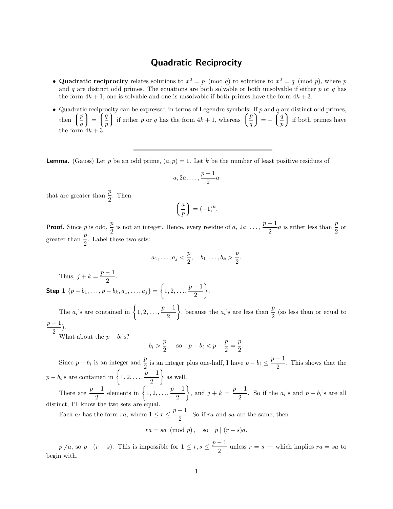## Quadratic Reciprocity

- Quadratic reciprocity relates solutions to  $x^2 = p \pmod{q}$  to solutions to  $x^2 = q \pmod{p}$ , where p and q are distinct odd primes. The equations are both solvable or both unsolvable if either p or q has the form  $4k + 1$ ; one is solvable and one is unsolvable if both primes have the form  $4k + 3$ .
- Quadratic reciprocity can be expressed in terms of Legendre symbols: If  $p$  and  $q$  are distinct odd primes, then  $\int$  $\mathfrak{t}$ p q  $\Bigg) \ = \ \Bigg($  $\mathfrak{t}$ q p ) if either p or q has the form  $4k + 1$ , whereas  $($  $\mathfrak{t}$ p q  $\Bigg) = - \Bigg($  $\mathfrak{t}$ q p  $\int$  if both primes have the form  $4k+3$

**Lemma.** (Gauss) Let p be an odd prime,  $(a, p) = 1$ . Let k be the number of least positive residues of

$$
a, 2a, \ldots, \frac{p-1}{2}a
$$

that are greater than  $\frac{p}{2}$ . Then

$$
\left(\frac{a}{p}\right) = (-1)^k.
$$

**Proof.** Since p is odd,  $\frac{p}{2}$  is not an integer. Hence, every residue of a, 2a, ...,  $\frac{p-1}{2}$  $\frac{-1}{2}a$  is either less than  $\frac{p}{2}$  or greater than  $\frac{p}{2}$ . Label these two sets:

$$
a_1, ..., a_j < \frac{p}{2}, \quad b_1, ..., b_k > \frac{p}{2}.
$$

Thus,  $j + k = \frac{p-1}{2}$  $\frac{1}{2}$ .

Step 1  $\{p-b_1, \ldots, p-b_k, a_1, \ldots, a_j\} = \left\{1, 2, \ldots, \frac{p-1}{2}\right\}$ 2  $\big\}$ .

The  $a_i$ 's are contained in  $\left\{1,2,\ldots,\frac{p-1}{2}\right\}$ 2 }, because the  $a_i$ 's are less than  $\frac{p}{2}$  (so less than or equal to  $p-1$  $\frac{1}{2}$ ).

What about the  $p - b_i$ 's?

$$
b_i > \frac{p}{2}
$$
, so  $p - b_i < p - \frac{p}{2} = \frac{p}{2}$ .

Since  $p - b_i$  is an integer and  $\frac{p}{2}$  is an integer plus one-half, I have  $p - b_i \leq \frac{p-1}{2}$  $\frac{1}{2}$ . This shows that the  $p - b_i$ 's are contained in  $\left\{1, 2, \ldots, \frac{p-1}{2}\right\}$ 2  $\}$  as well.  $\left\{\right\}$ , and  $j + k = \frac{p-1}{2}$ 

There are  $\frac{p-1}{2}$  elements in  $\left\{1,2,\ldots,\frac{p-1}{2}\right\}$ 2  $\frac{1}{2}$ . So if the  $a_i$ 's and  $p - b_i$ 's are all distinct, I'll know the two sets are equal.

Each  $a_i$  has the form  $ra$ , where  $1 \le r \le \frac{p-1}{2}$  $\frac{1}{2}$ . So if ra and sa are the same, then

$$
ra = sa \pmod{p}, \quad \text{so} \quad p \mid (r - s)a.
$$

 $p \nmid a, \text{ so } p \mid (r - s)$ . This is impossible for  $1 \leq r, s \leq \frac{p-1}{2}$  $\frac{1}{2}$  unless  $r = s$  — which implies  $ra = sa$  to begin with.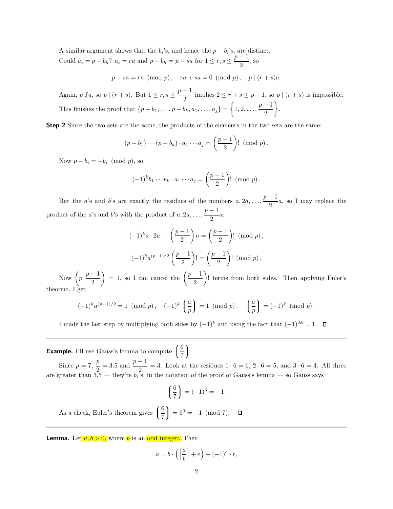A similar argument shows that the  $b_i$ 's, and hence the  $p - b_i$ 's, are distinct. Could  $a_i = p - b_h$ ?  $a_i = ra$  and  $p - b_h = p - sa$  for  $1 \le r, s \le \frac{p-1}{2}$ 

 $\frac{1}{2}$ , so

 $p - sa = ra \pmod{p}, \quad ra + sa = 0 \pmod{p}, \quad p \mid (r + s)a.$ 

Again,  $p \nmid a$ , so  $p \mid (r + s)$ . But  $1 \leq r, s \leq \frac{p-1}{2}$  $\frac{1}{2}$  implies  $2 \le r + s \le p - 1$ , so  $p \mid (r + s)$  is impossible. This finishes the proof that  $\{p - b_1, \ldots, p - b_k, a_1, \ldots, a_j\} = \begin{cases} 1, 2, \ldots, \frac{p-1}{2} \end{cases}$ 2  $\big\}$ .

Step 2 Since the two sets are the same, the products of the elements in the two sets are the same:

$$
(p-b_1)\cdots(p-b_k)\cdot a_1\cdots a_j=\left(\frac{p-1}{2}\right)!\pmod{p}.
$$

Now  $p - b_i = -b_i \pmod{p}$ , so

$$
(-1)^{k}b_{1}\cdots b_{k}\cdot a_{1}\cdots a_{j}=\left(\frac{p-1}{2}\right)! \pmod{p}.
$$

But the *a*'s and *b*'s are exactly the residues of the numbers  $a, 2a, \ldots, \frac{p-1}{2}$  $\frac{1}{2}$ a, so I may replace the product of the a's and b's with the product of  $a, 2a, \ldots, \frac{p-1}{q}$  $\frac{1}{2}a$ 

$$
(-1)^{k}a \cdot 2a \cdots \left(\frac{p-1}{2}\right)a = \left(\frac{p-1}{2}\right)! \pmod{p},
$$

$$
(-1)^{k}a^{(p-1)/2}\left(\frac{p-1}{2}\right)! = \left(\frac{p-1}{2}\right)! \pmod{p}.
$$

Now  $\left(p, \frac{p-1}{2}\right)$ 2  $= 1$ , so I can cancel the  $\left(\frac{p-1}{q}\right)$ 2 ! terms from both sides. Then applying Euler's theorem, I get

$$
(-1)^{k} a^{(p-1)/2} = 1 \pmod{p}, \quad (-1)^{k} \left(\frac{a}{p}\right) = 1 \pmod{p}, \quad \left(\frac{a}{p}\right) = (-1)^{k} \pmod{p}.
$$

I made the last step by multiplying both sides by  $(-1)^k$  and using the fact that  $(-1)^{2k} = 1$ . □

**Example.** I'll use Gauss's lemma to compute  $\int$  $\mathbf{I}$ 6 7 .<br>.<br>.

Since  $p = 7$ ,  $\frac{p}{2} = 3.5$  and  $\frac{p-1}{2} = 3$ . Look at the residues  $1 \cdot 6 = 6$ ,  $2 \cdot 6 = 5$ , and  $3 \cdot 6 = 4$ . All three are greater than 3.5 — they're  $b_i$ 's, in the notation of the proof of Gauss's lemma — so Gauss says

$$
\left(\frac{6}{7}\right) = (-1)^3 = -1.
$$

6 As a check, Euler's theorem gives  $\int$  $= 6^3 = -1 \pmod{7}.$  $\Box$  $\mathcal{L}$ 7

**Lemma.** Let  $a, b > 0$ , where b is an odd integer. Then

$$
a = b \cdot \left( \left[ \frac{a}{b} \right] + e \right) + (-1)^e \cdot r,
$$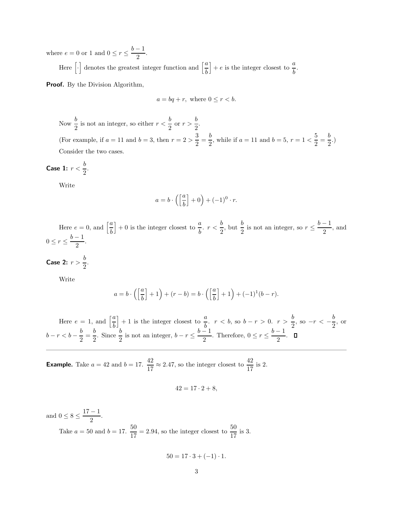where  $e = 0$  or 1 and  $0 \le r \le \frac{b-1}{2}$  $\frac{1}{2}$ .

Here  $\left[\cdot\right]$  denotes the greatest integer function and  $\left[\frac{a}{b}\right]$ b  $\Big] + e$  is the integer closest to  $\frac{a}{b}$ .

Proof. By the Division Algorithm,

$$
a = bq + r, \text{ where } 0 \le r < b.
$$

Now  $\frac{b}{2}$  is not an integer, so either  $r < \frac{b}{2}$  $rac{b}{2}$  or  $r > \frac{b}{2}$  $\frac{5}{2}$ . (For example, if  $a = 11$  and  $b = 3$ , then  $r = 2 > \frac{3}{2}$  $\frac{3}{2} = \frac{b}{2}$  $\frac{b}{2}$ , while if  $a = 11$  and  $b = 5$ ,  $r = 1 < \frac{5}{2}$  $\frac{5}{2} = \frac{b}{2}$  $\frac{5}{2}$ .) Consider the two cases.

Case 1:  $r < \frac{b}{2}$  $\frac{1}{2}$ .

Write

$$
a = b \cdot \left( \left[ \frac{a}{b} \right] + 0 \right) + (-1)^0 \cdot r.
$$

Here  $e = 0$ , and  $\left[\frac{a}{b}\right]$ b  $\left] + 0$  is the integer closest to  $\frac{a}{b}$ .  $r < \frac{b}{2}$  $\frac{b}{2}$ , but  $\frac{b}{2}$  is not an integer, so  $r \leq \frac{b-1}{2}$  $\frac{1}{2}$ , and  $0 \leq r \leq \frac{b-1}{2}$  $\frac{1}{2}$ .

Case 2:  $r > \frac{b}{2}$  $\frac{3}{2}$ .

Write

$$
a = b \cdot \left( \left[ \frac{a}{b} \right] + 1 \right) + (r - b) = b \cdot \left( \left[ \frac{a}{b} \right] + 1 \right) + (-1)^1 (b - r).
$$

Here  $e = 1$ , and  $\left[\frac{a}{b}\right]$ b ] + 1 is the integer closest to  $\frac{a}{b}$ . *r* < *b*, so *b* − *r* > 0. *r* >  $\frac{b}{2}$  $\frac{b}{2}$ , so  $-r < -\frac{b}{2}$  $\frac{0}{2}$ , or  $b-r < b-\frac{b}{2}$  $\frac{b}{2} = \frac{b}{2}$  $\frac{b}{2}$ . Since  $\frac{b}{2}$  is not an integer,  $b-r \leq \frac{b-1}{2}$  $\frac{-1}{2}$ . Therefore,  $0 \le r \le \frac{b-1}{2}$  $\frac{1}{2}$ .

**Example.** Take  $a = 42$  and  $b = 17$ .  $\frac{42}{17} \approx 2.47$ , so the integer closest to  $\frac{42}{17}$  is 2.

$$
42 = 17 \cdot 2 + 8,
$$

and  $0 \le 8 \le \frac{17-1}{8}$  $\frac{1}{2}$ . Take  $a = 50$  and  $b = 17$ .  $\frac{50}{17} = 2.94$ , so the integer closest to  $\frac{50}{17}$  is 3.

$$
50 = 17 \cdot 3 + (-1) \cdot 1.
$$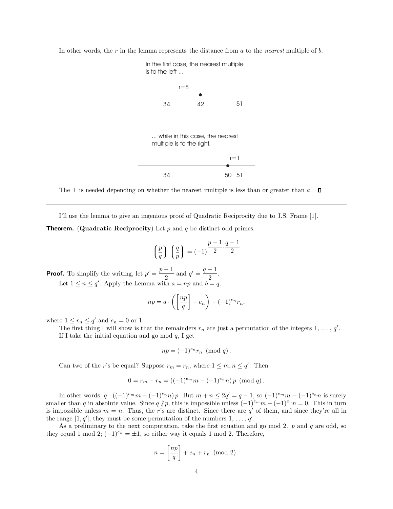In other words, the r in the lemma represents the distance from a to the *nearest* multiple of b.



The  $\pm$  is needed depending on whether the nearest multiple is less than or greater than a.  $\Box$ 

I'll use the lemma to give an ingenious proof of Quadratic Reciprocity due to J.S. Frame [1].

**Theorem.** (Quadratic Reciprocity) Let  $p$  and  $q$  be distinct odd primes.

$$
\left(\frac{p}{q}\right)\left(\frac{q}{p}\right) = (-1)^{\frac{p-1}{2} \cdot \frac{q-1}{2}}
$$

**Proof.** To simplify the writing, let  $p' = \frac{p-1}{2}$  $\frac{-1}{2}$  and  $q' = \frac{q-1}{2}$  $\frac{1}{2}$ . Let  $1 \le n \le q'$ . Apply the Lemma with  $a = np$  and  $b = q$ .

$$
np = q \cdot \left( \left[ \frac{np}{q} \right] + e_n \right) + (-1)^{e_n} r_n,
$$

where  $1 \le r_n \le q'$  and  $e_n = 0$  or 1.

The first thing I will show is that the remainders  $r_n$  are just a permutation of the integers 1, ..., q'. If I take the initial equation and go mod  $q$ , I get

$$
np = (-1)^{e_n} r_n \pmod{q}.
$$

Can two of the *r*'s be equal? Suppose  $r_m = r_n$ , where  $1 \leq m, n \leq q'$ . Then

$$
0 = r_m - r_n = ((-1)^{e_m} m - (-1)^{e_n} n) p \pmod{q}.
$$

In other words,  $q \mid ((-1)^{e_m}m - (-1)^{e_n}n)p$ . But  $m + n \leq 2q' = q - 1$ , so  $(-1)^{e_m}m - (-1)^{e_n}n$  is surely smaller than q in absolute value. Since  $q/p$ , this is impossible unless  $(-1)^{e_m}m - (-1)^{e_n}n = 0$ . This in turn is impossible unless  $m = n$ . Thus, the r's are distinct. Since there are q' of them, and since they're all in the range [1, q'], they must be some permutation of the numbers 1, ..., q'.

As a preliminary to the next computation, take the first equation and go mod 2.  $p$  and  $q$  are odd, so they equal 1 mod 2;  $(-1)^{e_n} = \pm 1$ , so either way it equals 1 mod 2. Therefore,

$$
n = \left[\frac{np}{q}\right] + e_n + r_n \pmod{2}.
$$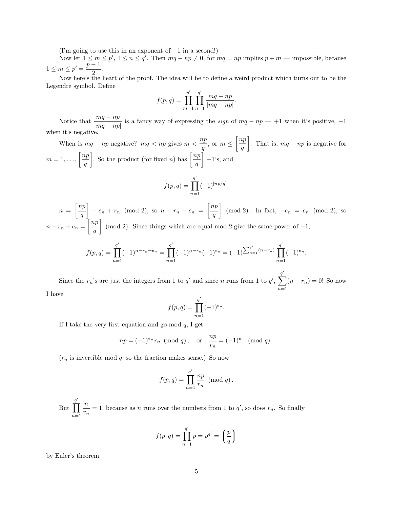(I'm going to use this in an exponent of  $-1$  in a second!)

Now let  $1 \leq m \leq p'$ ,  $1 \leq n \leq q'$ . Then  $mq - np \neq 0$ , for  $mq = np$  implies  $p \div m$  — impossible, because  $1 \le m \le p' = \frac{p-1}{2}$  $\frac{1}{2}$ .

Now here's the heart of the proof. The idea will be to define a weird product which turns out to be the Legendre symbol. Define

$$
f(p,q) = \prod_{m=1}^{p'} \prod_{n=1}^{q'} \frac{mq - np}{|mq - np|}.
$$

Notice that  $\frac{mq - np}{|mq - np|}$  is a fancy way of expressing the *sign* of  $mq - np - +1$  when it's positive, -1 when it's negative.

When is  $mq - np$  negative?  $mq < np$  gives  $m < \frac{np}{n}$  $\frac{ap}{q}$ , or  $m \leq \left\lceil \frac{np}{q} \right\rceil$ q . That is,  $mq - np$  is negative for  $m=1,\ldots,\left\lceil\frac{np}{p}\right\rceil$ q . So the product (for fixed *n*) has  $\left[\frac{np}{n}\right]$ q  $\Big]$  −1's, and ′

$$
f(p,q) = \prod_{n=1}^{q'} (-1)^{[np/q]}.
$$

 $n = \left\lceil \frac{np}{n} \right\rceil$ q  $+ e_n + r_n \pmod{2}$ , so  $n - r_n - e_n = \left\lceil \frac{np}{n} \right\rceil$ q (mod 2). In fact,  $-e_n = e_n \pmod{2}$ , so  $n-r_n+e_n=\left\lceil\frac{np}{n}\right\rceil$ q (mod 2). Since things which are equal mod 2 give the same power of  $-1$ ,

$$
f(p,q) = \prod_{n=1}^{q'} (-1)^{n-r_n+e_n} = \prod_{n=1}^{q'} (-1)^{n-r_n} (-1)^{e_n} = (-1)^{\sum_{n=1}^{q'} (n-r_n)} \prod_{n=1}^{q'} (-1)^{e_n}.
$$

Since the  $r_n$ 's are just the integers from 1 to  $q'$  and since n runs from 1 to  $q'$ ,  $\sum^{q'}$  $n=1$  $(n - r_n) = 0!$  So now I have

$$
f(p,q) = \prod_{n=1}^{q'} (-1)^{e_n}.
$$

If I take the very first equation and go mod  $q$ , I get

$$
np = (-1)^{e_n} r_n \pmod{q}
$$
, or  $\frac{np}{r_n} = (-1)^{e_n} \pmod{q}$ .

 $(r_n$  is invertible mod q, so the fraction makes sense.) So now

$$
f(p,q) = \prod_{n=1}^{q'} \frac{np}{r_n} \pmod{q}.
$$

But q ′  $\Pi$  $n=1$ n  $\frac{n}{r_n} = 1$ , because as *n* runs over the numbers from 1 to  $q'$ , so does  $r_n$ . So finally

$$
f(p,q) = \prod_{n=1}^{q'} p = p^{q'} = \left(\frac{p}{q}\right)
$$

by Euler's theorem.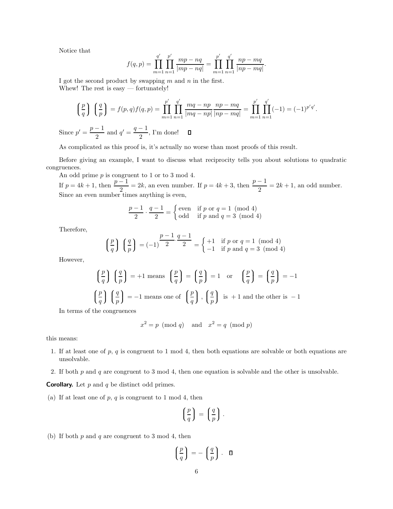Notice that

$$
f(q,p) = \prod_{m=1}^{q'} \prod_{n=1}^{p'} \frac{mp - nq}{|mp - nq|} = \prod_{m=1}^{p'} \prod_{n=1}^{q'} \frac{np - mq}{|np - mq|}.
$$

I got the second product by swapping  $m$  and  $n$  in the first. Whew! The rest is easy — fortunately!

$$
\left(\frac{p}{q}\right)\left(\frac{q}{p}\right) = f(p,q)f(q,p) = \prod_{m=1}^{p'}\prod_{n=1}^{q'}\frac{mq - np}{|mq - np|}\frac{np - mq}{|np - mq|} = \prod_{m=1}^{p'}\prod_{n=1}^{q'}(-1) = (-1)^{p'q'}.
$$
  
Since  $p' = \frac{p-1}{2}$  and  $q' = \frac{q-1}{2}$ , I'm done!

As complicated as this proof is, it's actually no worse than most proofs of this result.

Before giving an example, I want to discuss what reciprocity tells you about solutions to quadratic congruences.

An odd prime p is congruent to 1 or to 3 mod 4. If  $p = 4k + 1$ , then  $\frac{p-1}{2} = 2k$ , an even number. If  $p = 4k + 3$ , then  $\frac{p-1}{2} = 2k + 1$ , an odd number. Since an even number times anything is even,

$$
\frac{p-1}{2} \cdot \frac{q-1}{2} = \begin{cases} \text{even} & \text{if } p \text{ or } q = 1 \pmod{4} \\ \text{odd} & \text{if } p \text{ and } q = 3 \pmod{4} \end{cases}
$$

Therefore,

$$
\left(\frac{p}{q}\right)\left(\frac{q}{p}\right) = (-1)^{\frac{p-1}{2}\cdot\frac{q-1}{2}} = \begin{cases} +1 & \text{if } p \text{ or } q = 1 \pmod{4} \\ -1 & \text{if } p \text{ and } q = 3 \pmod{4} \end{cases}
$$

However,

$$
\left(\frac{p}{q}\right)\left(\frac{q}{p}\right) = +1 \text{ means } \left(\frac{p}{q}\right) = \left(\frac{q}{p}\right) = 1 \text{ or } \left(\frac{p}{q}\right) = \left(\frac{q}{p}\right) = -1
$$

$$
\left(\frac{p}{q}\right)\left(\frac{q}{p}\right) = -1 \text{ means one of } \left(\frac{p}{q}\right), \left(\frac{q}{p}\right) \text{ is } +1 \text{ and the other is } -1
$$

In terms of the congruences

$$
x^2 = p \pmod{q} \quad \text{and} \quad x^2 = q \pmod{p}
$$

this means:

- 1. If at least one of  $p, q$  is congruent to 1 mod 4, then both equations are solvable or both equations are unsolvable.
- 2. If both  $p$  and  $q$  are congruent to 3 mod 4, then one equation is solvable and the other is unsolvable.

**Corollary.** Let  $p$  and  $q$  be distinct odd primes.

(a) If at least one of  $p, q$  is congruent to 1 mod 4, then

$$
\left(\frac{p}{q}\right) = \left(\frac{q}{p}\right).
$$

(b) If both  $p$  and  $q$  are congruent to 3 mod 4, then

$$
\left(\frac{p}{q}\right) = -\left(\frac{q}{p}\right). \quad \Box
$$